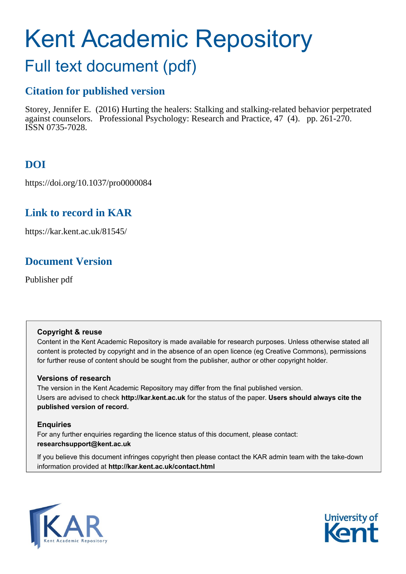# Kent Academic Repository

# Full text document (pdf)

## **Citation for published version**

Storey, Jennifer E. (2016) Hurting the healers: Stalking and stalking-related behavior perpetrated against counselors. Professional Psychology: Research and Practice, 47 (4). pp. 261-270. ISSN 0735-7028.

## **DOI**

https://doi.org/10.1037/pro0000084

## **Link to record in KAR**

https://kar.kent.ac.uk/81545/

## **Document Version**

Publisher pdf

#### **Copyright & reuse**

Content in the Kent Academic Repository is made available for research purposes. Unless otherwise stated all content is protected by copyright and in the absence of an open licence (eg Creative Commons), permissions for further reuse of content should be sought from the publisher, author or other copyright holder.

#### **Versions of research**

The version in the Kent Academic Repository may differ from the final published version. Users are advised to check **http://kar.kent.ac.uk** for the status of the paper. **Users should always cite the published version of record.**

#### **Enquiries**

For any further enquiries regarding the licence status of this document, please contact: **researchsupport@kent.ac.uk**

If you believe this document infringes copyright then please contact the KAR admin team with the take-down information provided at **http://kar.kent.ac.uk/contact.html**



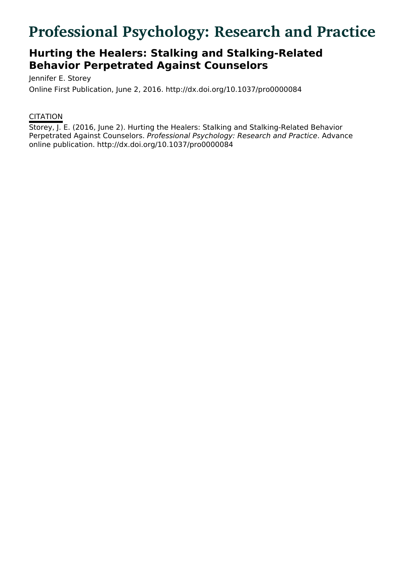## **Professional Psychology: Research and Practice**

## **Hurting the Healers: Stalking and Stalking-Related Behavior Perpetrated Against Counselors**

Jennifer E. Storey

Online First Publication, June 2, 2016. http://dx.doi.org/10.1037/pro0000084

#### **CITATION**

Storey, J. E. (2016, June 2). Hurting the Healers: Stalking and Stalking-Related Behavior Perpetrated Against Counselors. Professional Psychology: Research and Practice. Advance online publication. http://dx.doi.org/10.1037/pro0000084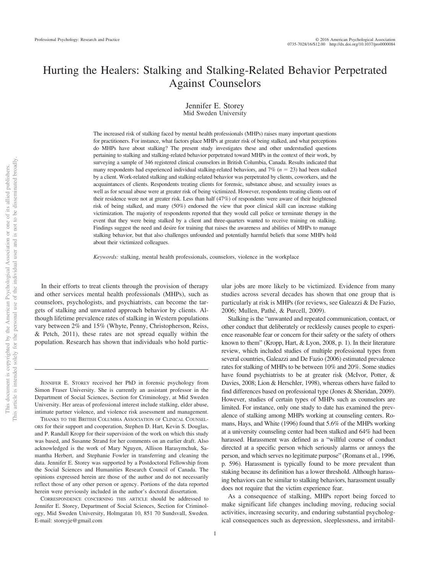### Hurting the Healers: Stalking and Stalking-Related Behavior Perpetrated Against Counselors

Jennifer E. Storey Mid Sweden University

The increased risk of stalking faced by mental health professionals (MHPs) raises many important questions for practitioners. For instance, what factors place MHPs at greater risk of being stalked, and what perceptions do MHPs have about stalking? The present study investigates these and other understudied questions pertaining to stalking and stalking-related behavior perpetrated toward MHPs in the context of their work, by surveying a sample of 346 registered clinical counselors in British Columbia, Canada. Results indicated that many respondents had experienced individual stalking-related behaviors, and  $7\%$  ( $n = 23$ ) had been stalked by a client. Work-related stalking and stalking-related behavior was perpetrated by clients, coworkers, and the acquaintances of clients. Respondents treating clients for forensic, substance abuse, and sexuality issues as well as for sexual abuse were at greater risk of being victimized. However, respondents treating clients out of their residence were not at greater risk. Less than half (47%) of respondents were aware of their heightened risk of being stalked, and many (50%) endorsed the view that poor clinical skill can increase stalking victimization. The majority of respondents reported that they would call police or terminate therapy in the event that they were being stalked by a client and three-quarters wanted to receive training on stalking. Findings suggest the need and desire for training that raises the awareness and abilities of MHPs to manage stalking behavior, but that also challenges unfounded and potentially harmful beliefs that some MHPs hold about their victimized colleagues.

*Keywords:* stalking, mental health professionals, counselors, violence in the workplace

In their efforts to treat clients through the provision of therapy and other services mental health professionals (MHPs), such as counselors, psychologists, and psychiatrists, can become the targets of stalking and unwanted approach behavior by clients. Although lifetime prevalence rates of stalking in Western populations vary between 2% and 15% (Whyte, Penny, Christopherson, Reiss, & Petch, 2011), these rates are not spread equally within the population. Research has shown that individuals who hold partic-

JENNIFER E. STOREY received her PhD in forensic psychology from Simon Fraser University. She is currently an assistant professor in the Department of Social Sciences, Section for Criminology, at Mid Sweden University. Her areas of professional interest include stalking, elder abuse, intimate partner violence, and violence risk assessment and management.

THANKS TO THE BRITISH COLUMBIA ASSOCIATION OF CLINICAL COUNSEL-ORS for their support and cooperation, Stephen D. Hart, Kevin S. Douglas, and P. Randall Kropp for their supervision of the work on which this study was based, and Susanne Strand for her comments on an earlier draft. Also acknowledged is the work of Mary Nguyen, Allison Harasymchuk, Samantha Herbert, and Stephanie Fowler in transferring and cleaning the data. Jennifer E. Storey was supported by a Postdoctoral Fellowship from the Social Sciences and Humanities Research Council of Canada. The opinions expressed herein are those of the author and do not necessarily reflect those of any other person or agency. Portions of the data reported herein were previously included in the author's doctoral dissertation.

CORRESPONDENCE CONCERNING THIS ARTICLE should be addressed to Jennifer E. Storey, Department of Social Sciences, Section for Criminology, Mid Sweden University, Holmgatan 10, 851 70 Sundsvall, Sweden. E-mail: storeyje@gmail.com

ular jobs are more likely to be victimized. Evidence from many studies across several decades has shown that one group that is particularly at risk is MHPs (for reviews, see Galeazzi & De Fazio, 2006; Mullen, Pathé, & Purcell, 2009).

Stalking is the "unwanted and repeated communication, contact, or other conduct that deliberately or recklessly causes people to experience reasonable fear or concern for their safety or the safety of others known to them" (Kropp, Hart, & Lyon, 2008, p. 1). In their literature review, which included studies of multiple professional types from several countries, Galeazzi and De Fazio (2006) estimated prevalence rates for stalking of MHPs to be between 10% and 20%. Some studies have found psychiatrists to be at greater risk (McIvor, Potter, & Davies, 2008; Lion & Herschler, 1998), whereas others have failed to find differences based on professional type (Jones & Sheridan, 2009). However, studies of certain types of MHPs such as counselors are limited. For instance, only one study to date has examined the prevalence of stalking among MHPs working at counseling centers. Romans, Hays, and White (1996) found that 5.6% of the MHPs working at a university counseling center had been stalked and 64% had been harassed. Harassment was defined as a "willful course of conduct directed at a specific person which seriously alarms or annoys the person, and which serves no legitimate purpose" (Romans et al., 1996, p. 596). Harassment is typically found to be more prevalent than staking because its definition has a lower threshold. Although harassing behaviors can be similar to stalking behaviors, harassment usually does not require that the victim experience fear.

As a consequence of stalking, MHPs report being forced to make significant life changes including moving, reducing social activities, increasing security, and enduring substantial psychological consequences such as depression, sleeplessness, and irritabil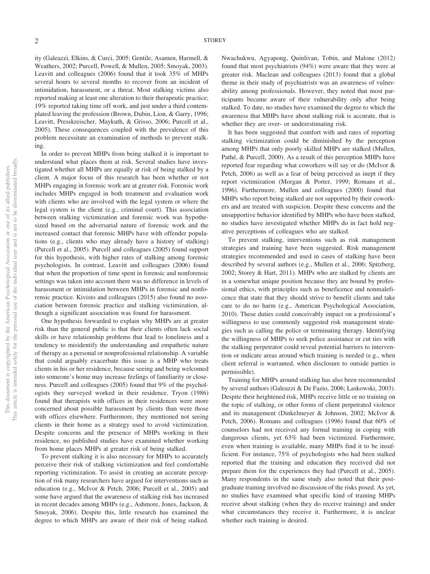ity (Galeazzi, Elkins, & Curci, 2005; Gentile, Asamen, Harmell, & Weathers, 2002; Purcell, Powell, & Mullen, 2005; Smoyak, 2003). Leavitt and colleagues (2006) found that it took 35% of MHPs several hours to several months to recover from an incident of intimidation, harassment, or a threat. Most stalking victims also reported making at least one alteration to their therapeutic practice; 19% reported taking time off work, and just under a third contemplated leaving the profession (Brown, Dubin, Lion, & Garry, 1996; Leavitt, Presskreischer, Maykuth, & Grisso, 2006; Purcell et al., 2005). These consequences coupled with the prevalence of this problem necessitate an examination of methods to prevent stalking.

In order to prevent MHPs from being stalked it is important to understand what places them at risk. Several studies have investigated whether all MHPs are equally at risk of being stalked by a client. A major focus of this research has been whether or not MHPs engaging in forensic work are at greater risk. Forensic work includes MHPs engaged in both treatment and evaluation work with clients who are involved with the legal system or where the legal system is the client (e.g., criminal court). This association between stalking victimization and forensic work was hypothesized based on the adversarial nature of forensic work and the increased contact that forensic MHPs have with offender populations (e.g., clients who may already have a history of stalking) (Purcell et al., 2005). Purcell and colleagues (2005) found support for this hypothesis, with higher rates of stalking among forensic psychologists. In contrast, Leavitt and colleagues (2006) found that when the proportion of time spent in forensic and nonforensic settings was taken into account there was no difference in levels of harassment or intimidation between MHPs in forensic and nonforensic practice. Kivisto and colleagues (2015) also found no association between forensic practice and stalking victimization, although a significant association was found for harassment.

One hypothesis forwarded to explain why MHPs are at greater risk than the general public is that their clients often lack social skills or have relationship problems that lead to loneliness and a tendency to misidentify the understanding and empathetic nature of therapy as a personal or nonprofessional relationship. A variable that could arguably exacerbate this issue is a MHP who treats clients in his or her residence, because seeing and being welcomed into someone's home may increase feelings of familiarity or closeness. Purcell and colleagues (2005) found that 9% of the psychologists they surveyed worked in their residence. Tryon (1986) found that therapists with offices in their residences were more concerned about possible harassment by clients than were those with offices elsewhere. Furthermore, they mentioned not seeing clients in their home as a strategy used to avoid victimization. Despite concerns and the presence of MHPs working in their residence, no published studies have examined whether working from home places MHPs at greater risk of being stalked.

To prevent stalking it is also necessary for MHPs to accurately perceive their risk of stalking victimization and feel comfortable reporting victimization. To assist in creating an accurate perception of risk many researchers have argued for interventions such as education (e.g., McIvor & Petch, 2006; Purcell et al., 2005) and some have argued that the awareness of stalking risk has increased in recent decades among MHPs (e.g., Ashmore, Jones, Jackson, & Smoyak, 2006). Despite this, little research has examined the degree to which MHPs are aware of their risk of being stalked.

Nwachukwu, Agyapong, Quinlivan, Tobin, and Malone (2012) found that most psychiatrists (94%) were aware that they were at greater risk. Maclean and colleagues (2013) found that a global theme in their study of psychiatrists was an awareness of vulnerability among professionals. However, they noted that most participants became aware of their vulnerability only after being stalked. To date, no studies have examined the degree to which the awareness that MHPs have about stalking risk is accurate, that is whether they are over- or underestimating risk.

It has been suggested that comfort with and rates of reporting stalking victimization could be diminished by the perception among MHPs that only poorly skilled MHPs are stalked (Mullen, Pathé, & Purcell, 2000). As a result of this perception MHPs have reported fear regarding what coworkers will say or do (McIvor & Petch, 2006) as well as a fear of being perceived as inept if they report victimization (Morgan & Porter, 1999; Romans et al., 1996). Furthermore, Mullen and colleagues (2000) found that MHPs who report being stalked are not supported by their coworkers and are treated with suspicion. Despite these concerns and the unsupportive behavior identified by MHPs who have been stalked, no studies have investigated whether MHPs do in fact hold negative perceptions of colleagues who are stalked.

To prevent stalking, interventions such as risk management strategies and training have been suggested. Risk management strategies recommended and used in cases of stalking have been described by several authors (e.g., Mullen et al., 2006; Spitzberg, 2002; Storey & Hart, 2011). MHPs who are stalked by clients are in a somewhat unique position because they are bound by professional ethics, with principles such as beneficence and nonmaleficence that state that they should strive to benefit clients and take care to do no harm (e.g., American Psychological Association, 2010). These duties could conceivably impact on a professional's willingness to use commonly suggested risk management strategies such as calling the police or terminating therapy. Identifying the willingness of MHPs to seek police assistance or cut ties with the stalking perpetrator could reveal potential barriers to intervention or indicate areas around which training is needed (e.g., when client referral is warranted, when disclosure to outside parties is permissible).

Training for MHPs around stalking has also been recommended by several authors (Galeazzi & De Fazio, 2006; Laskowski, 2003). Despite their heightened risk, MHPs receive little or no training on the topic of stalking, or other forms of client perpetrated violence and its management (Dinkelmeyer & Johnson, 2002; McIvor & Petch, 2006). Romans and colleagues (1996) found that 60% of counselors had not received any formal training in coping with dangerous clients, yet 63% had been victimized. Furthermore, even when training is available, many MHPs find it to be insufficient. For instance, 75% of psychologists who had been stalked reported that the training and education they received did not prepare them for the experiences they had (Purcell et al., 2005). Many respondents in the same study also noted that their postgraduate training involved no discussion of the risks posed. As yet, no studies have examined what specific kind of training MHPs receive about stalking (when they do receive training) and under what circumstances they receive it. Furthermore, it is unclear whether such training is desired.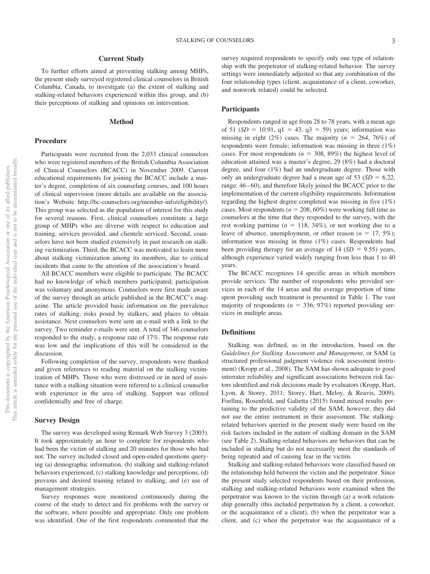#### **Current Study**

To further efforts aimed at preventing stalking among MHPs, the present study surveyed registered clinical counselors in British Columbia, Canada, to investigate (a) the extent of stalking and stalking-related behaviors experienced within this group, and (b) their perceptions of stalking and opinions on intervention.

#### **Method**

#### **Procedure**

Participants were recruited from the 2,033 clinical counselors who were registered members of the British Columbia Association of Clinical Counselors (BCACC) in November 2009. Current educational requirements for joining the BCACC include a master's degree, completion of six counseling courses, and 100 hours of clinical supervision (more details are available on the association's Website http://bc-counselors.org/member-info/eligibility/). This group was selected as the population of interest for this study for several reasons. First, clinical counselors constitute a large group of MHPs who are diverse with respect to education and training, services provided, and clientele serviced. Second, counselors have not been studied extensively in past research on stalking victimization. Third, the BCACC was motivated to learn more about stalking victimization among its members, due to critical incidents that came to the attention of the association's board.

All BCACC members were eligible to participate. The BCACC had no knowledge of which members participated; participation was voluntary and anonymous. Counselors were first made aware of the survey through an article published in the BCACC's magazine. The article provided basic information on the prevalence rates of stalking, risks posed by stalkers, and places to obtain assistance. Next counselors were sent an e-mail with a link to the survey. Two reminder e-mails were sent. A total of 346 counselors responded to the study, a response rate of 17%. The response rate was low and the implications of this will be considered in the discussion.

Following completion of the survey, respondents were thanked and given references to reading material on the stalking victimization of MHPs. Those who were distressed or in need of assistance with a stalking situation were referred to a clinical counselor with experience in the area of stalking. Support was offered confidentially and free of charge.

#### **Survey Design**

The survey was developed using Remark Web Survey 3 (2003). It took approximately an hour to complete for respondents who had been the victim of stalking and 20 minutes for those who had not. The survey included closed and open-ended questions querying (a) demographic information, (b) stalking and stalking-related behaviors experienced, (c) stalking knowledge and perceptions, (d) previous and desired training related to stalking, and (e) use of management strategies.

Survey responses were monitored continuously during the course of the study to detect and fix problems with the survey or the software, where possible and appropriate. Only one problem was identified. One of the first respondents commented that the

survey required respondents to specify only one type of relationship with the perpetrator of stalking-related behavior. The survey settings were immediately adjusted so that any combination of the four relationship types (client, acquaintance of a client, coworker, and nonwork related) could be selected.

#### **Participants**

Respondents ranged in age from 28 to 78 years, with a mean age of 51  $(SD = 10.91, q1 = 43, q3 = 59)$  years; information was missing in eight  $(2\%)$  cases. The majority  $(n = 264, 76\%)$  of respondents were female; information was missing in three (1%) cases. For most respondents  $(n = 308, 89%)$  the highest level of education attained was a master's degree, 29 (8%) had a doctoral degree, and four (1%) had an undergraduate degree. Those with only an undergraduate degree had a mean age of  $53$  ( $SD = 6.22$ , range:  $46-60$ ), and therefore likely joined the BCACC prior to the implementation of the current eligibility requirements. Information regarding the highest degree completed was missing in five (1%) cases. Most respondents ( $n = 208, 60\%$ ) were working full time as counselors at the time that they responded to the survey, with the rest working parttime  $(n = 118, 34\%)$ , or not working due to a leave of absence, unemployment, or other reason  $(n = 17, 5\%)$ ; information was missing in three (1%) cases. Respondents had been providing therapy for an average of  $14$  ( $SD = 9.55$ ) years, although experience varied widely ranging from less than 1 to 40 years.

The BCACC recognizes 14 specific areas in which members provide services. The number of respondents who provided services in each of the 14 areas and the average proportion of time spent providing such treatment is presented in Table 1. The vast majority of respondents ( $n = 336, 97\%$ ) reported providing services in multiple areas.

#### **Definitions**

Stalking was defined, as in the introduction, based on the *Guidelines for Stalking Assessment and Management*, or SAM (a structured professional judgment violence risk assessment instrument) (Kropp et al., 2008). The SAM has shown adequate to good interrater reliability and significant associations between risk factors identified and risk decisions made by evaluators (Kropp, Hart, Lyon, & Storey, 2011; Storey, Hart, Meloy, & Reavis, 2009). Foellmi, Rosenfeld, and Galietta (2015) found mixed results pertaining to the predictive validity of the SAM; however, they did not use the entire instrument in their assessment. The stalkingrelated behaviors queried in the present study were based on the risk factors included in the nature of stalking domain in the SAM (see Table 2). Stalking-related behaviors are behaviors that can be included in stalking but do not necessarily meet the standards of being repeated and of causing fear in the victim.

Stalking and stalking-related behaviors were classified based on the relationship held between the victim and the perpetrator. Since the present study selected respondents based on their profession, stalking and stalking-related behaviors were examined when the perpetrator was known to the victim through (a) a work relationship generally (this included perpetration by a client, a coworker, or the acquaintance of a client), (b) when the perpetrator was a client, and (c) when the perpetrator was the acquaintance of a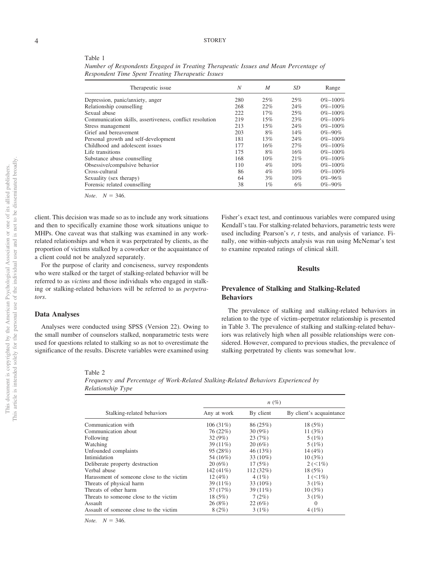Therapeutic issue *N M SD* Range Depression, panic/anxiety, anger 280 25% 25% 0%–100%<br>
Relationship counselling<br>  $268$  22% 24% 0%–100% Relationship counselling  $268$   $22\%$   $24\%$   $0\%$ -100%<br>Sexual abuse  $222$   $17\%$   $25\%$   $0\%$ -100% Sexual abuse 222  $17\%$  25%  $0\%$ –100% Communication skills, assertiveness, conflict resolution 219 15% 23% 0%–100% Stress management 213 15% 24% 0%–100%<br>
Grief and bereavement 203 8% 14% 0%–90% Grief and bereavement Personal growth and self-development 181 13% 24% 0%–100% Childhood and adolescent issues 177 16% 27% 0%–100% Life transitions 175 8% 16% 0%–100%<br>Substance abuse counselling 168 10% 21% 0%–100% Substance abuse counselling 168 10% 21%<br>
Obsessive/compulsive behavior 110 4% 10% Obsessive/compulsive behavior  $110 \t 4\% \t 10\% \t 0\%$  -100%  $\frac{\text{Cross-cultural}}{\text{Sevality (sex therapy)}}$  (10% 0%–100%) Sexuality (sex therapy) 64<br>
Forensic related counselling 38 Forensic related counselling 38 1% 6% 0%–90%

*Note*.  $N = 346$ .

client. This decision was made so as to include any work situations and then to specifically examine those work situations unique to MHPs. One caveat was that stalking was examined in any workrelated relationships and when it was perpetrated by clients, as the proportion of victims stalked by a coworker or the acquaintance of a client could not be analyzed separately.

For the purpose of clarity and conciseness, survey respondents who were stalked or the target of stalking-related behavior will be referred to as *victims* and those individuals who engaged in stalking or stalking-related behaviors will be referred to as *perpetrators*.

#### **Data Analyses**

Analyses were conducted using SPSS (Version 22). Owing to the small number of counselors stalked, nonparametric tests were used for questions related to stalking so as not to overestimate the significance of the results. Discrete variables were examined using

#### Table 2

| Frequency and Percentage of Work-Related Stalking-Related Behaviors Experienced by |
|------------------------------------------------------------------------------------|
| Relationship Type                                                                  |

|                                           | $n(\%)$     |             |                          |  |  |
|-------------------------------------------|-------------|-------------|--------------------------|--|--|
| Stalking-related behaviors                | Any at work | By client   | By client's acquaintance |  |  |
| Communication with                        | 106(31%)    | 86 (25%)    | 18(5%)                   |  |  |
| Communication about                       | 76 (22%)    | $30(9\%)$   | 11 $(3%)$                |  |  |
| Following                                 | 32(9%)      | 23(7%)      | 5(1%)                    |  |  |
| Watching                                  | $39(11\%)$  | 20(6%)      | 5(1%)                    |  |  |
| Unfounded complaints                      | 95 (28%)    | 46(13%)     | 14 $(4%)$                |  |  |
| Intimidation                              | 54 (16%)    | 33 $(10\%)$ | 10(3%)                   |  |  |
| Deliberate property destruction           | 20(6%)      | 17(5%)      | $2 (< 1\%)$              |  |  |
| Verbal abuse                              | 142 (41%)   | 112 (32%)   | 18(5%)                   |  |  |
| Harassment of someone close to the victim | 12(4%)      | 4(1%)       | $1 (< 1\%)$              |  |  |
| Threats of physical harm                  | $39(11\%)$  | 33 $(10\%)$ | 3(1%)                    |  |  |
| Threats of other harm                     | 57 (17%)    | $39(11\%)$  | 10(3%)                   |  |  |
| Threats to someone close to the victim    | 18(5%)      | 7(2%)       | 3(1%)                    |  |  |
| Assault                                   | 26(8%)      | 22(6%)      | $\Omega$                 |  |  |
| Assault of someone close to the victim    | 8(2%)       | 3(1%)       | 4(1%)                    |  |  |

Fisher's exact test, and continuous variables were compared using Kendall's tau. For stalking-related behaviors, parametric tests were used including Pearson's *r*, *t* tests, and analysis of variance. Finally, one within-subjects analysis was run using McNemar's test to examine repeated ratings of clinical skill.

#### **Results**

#### **Prevalence of Stalking and Stalking-Related Behaviors**

The prevalence of stalking and stalking-related behaviors in relation to the type of victim–perpetrator relationship is presented in Table 3. The prevalence of stalking and stalking-related behaviors was relatively high when all possible relationships were considered. However, compared to previous studies, the prevalence of stalking perpetrated by clients was somewhat low.

Table 1

*Number of Respondents Engaged in Treating Therapeutic Issues and Mean Percentage of Respondent Time Spent Treating Therapeutic Issues*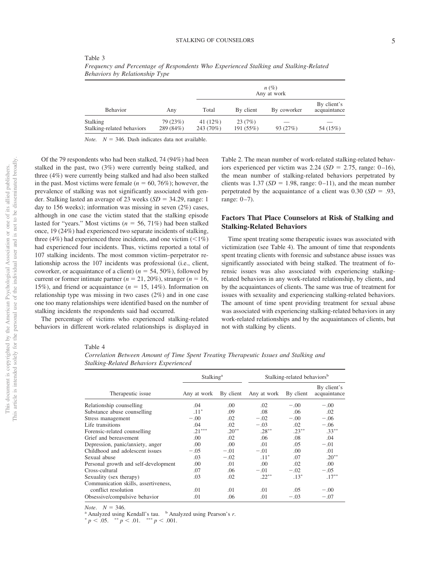|                                        |                       |                       | $n(\%)$<br>Any at work |             |                             |  |  |
|----------------------------------------|-----------------------|-----------------------|------------------------|-------------|-----------------------------|--|--|
| Behavior                               | Any                   | Total                 | By client              | By coworker | By client's<br>acquaintance |  |  |
| Stalking<br>Stalking-related behaviors | 79 (23%)<br>289 (84%) | 41 (12%)<br>243 (70%) | 23(7%)<br>191 (55%)    | 93 (27%)    | 54 (15%)                    |  |  |

Table 3 *Frequency and Percentage of Respondents Who Experienced Stalking and Stalking-Related Behaviors by Relationship Type*

*Note.*  $N = 346$ . Dash indicates data not available.

| Of the $\frac{1}{2}$ respondents who had been started, $\frac{1}{4}$ ( $\frac{1}{2}$ ) had been |
|-------------------------------------------------------------------------------------------------|
| stalked in the past, two (3%) were currently being stalked, and                                 |
| three (4%) were currently being stalked and had also been stalked                               |
| in the past. Most victims were female ( $n = 60, 76\%$ ); however, the                          |
| prevalence of stalking was not significantly associated with gen-                               |
| der. Stalking lasted an average of 23 weeks $SD = 34.29$ , range: 1                             |
| day to 156 weeks); information was missing in seven $(2\%)$ cases,                              |
| although in one case the victim stated that the stalking episode                                |
| lasted for "years." Most victims ( $n = 56, 71\%$ ) had been stalked                            |
| once, 19 (24%) had experienced two separate incidents of stalking,                              |
| three (4%) had experienced three incidents, and one victim $($                                  |
| had experienced four incidents. Thus, victims reported a total of                               |
| 107 stalking incidents. The most common victim-perpetrator re-                                  |
| lationship across the 107 incidents was professional (i.e., client,                             |
| coworker, or acquaintance of a client) ( $n = 54, 50\%$ ), followed by                          |
| current or former intimate partner ( $n = 21, 20\%$ ), stranger ( $n = 16$ ,                    |
| 15%), and friend or acquaintance ( $n = 15$ , 14%). Information on                              |
| relationship type was missing in two cases $(2\%)$ and in one case                              |
| one too many relationships were identified based on the number of                               |
| stalking incidents the respondents said had occurred.                                           |
|                                                                                                 |

Of the  $70$  respondents who had been stalked,  $74$   $(04\%)$  had been

The percentage of victims who experienced stalking-related behaviors in different work-related relationships is displayed in Table 2. The mean number of work-related stalking-related behaviors experienced per victim was  $2.24$  ( $SD = 2.75$ , range:  $0-16$ ), the mean number of stalking-related behaviors perpetrated by clients was  $1.37$  ( $SD = 1.98$ , range:  $0-11$ ), and the mean number perpetrated by the acquaintance of a client was  $0.30$  (*SD* = .93, range: 0-7).

#### **Factors That Place Counselors at Risk of Stalking and Stalking-Related Behaviors**

Time spent treating some therapeutic issues was associated with victimization (see Table 4). The amount of time that respondents spent treating clients with forensic and substance abuse issues was significantly associated with being stalked. The treatment of forensic issues was also associated with experiencing stalkingrelated behaviors in any work-related relationship, by clients, and by the acquaintances of clients. The same was true of treatment for issues with sexuality and experiencing stalking-related behaviors. The amount of time spent providing treatment for sexual abuse was associated with experiencing stalking-related behaviors in any work-related relationships and by the acquaintances of clients, but not with stalking by clients.

#### Table 4

*Correlation Between Amount of Time Spent Treating Therapeutic Issues and Stalking and Stalking-Related Behaviors Experienced*

|                                      | Stalking <sup>a</sup> |           | Stalking-related behaviors <sup>b</sup> |           |                             |
|--------------------------------------|-----------------------|-----------|-----------------------------------------|-----------|-----------------------------|
| Therapeutic issue                    | Any at work           | By client | Any at work                             | By client | By client's<br>acquaintance |
| Relationship counselling             | .04                   | .00.      | .02                                     | $-.00$    | $-.00$                      |
| Substance abuse counselling          | $.11*$                | .09       | .08                                     | .06       | .02                         |
| Stress management                    | $-.00$                | .02       | $-.02$                                  | $-.00$    | $-.06$                      |
| Life transitions                     | .04                   | .02       | $-.03$                                  | .02       | $-.06$                      |
| Forensic-related counselling         | $.21***$              | $.20***$  | $.28***$                                | $.23***$  | $.33***$                    |
| Grief and bereavement                | .00.                  | .02       | .06                                     | .08       | .04                         |
| Depression, panic/anxiety, anger     | .00.                  | .00.      | .01                                     | .05       | $-.01$                      |
| Childhood and adolescent issues      | $-.05$                | $-.01$    | $-.01$                                  | .00.      | .01                         |
| Sexual abuse                         | .03                   | $-.02$    | $.11*$                                  | .07       | $.20***$                    |
| Personal growth and self-development | .00.                  | .01       | .00.                                    | $.02\,$   | .00.                        |
| Cross-cultural                       | .07                   | .06       | $-.01$                                  | $-.02$    | $-.05$                      |
| Sexuality (sex therapy)              | .03                   | .02       | $.22***$                                | $.13*$    | $.17***$                    |
| Communication skills, assertiveness, |                       |           |                                         |           |                             |
| conflict resolution                  | .01                   | .01       | .01                                     | .05       | $-.00$                      |
| Obsessive/compulsive behavior        | .01                   | .06       | .01                                     | $-.03$    | $-.07$                      |

*Note*.  $N = 346$ .

*Note.*  $N = 346$ .<br>
<sup>a</sup> Analyzed using Kendall's tau. <sup>b</sup> Analyzed using Pearson's *r*.<br>
<sup>\*</sup>  $p < .05$ . <sup>\*\*</sup>  $p < .01$ . \*\*\*  $p < .001$ .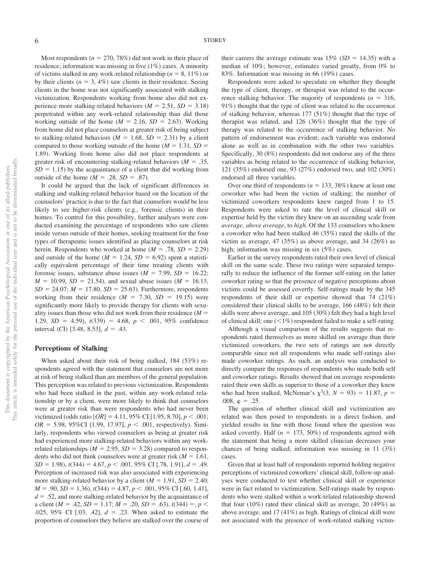Most respondents ( $n = 270, 78\%)$  did not work in their place of residence; information was missing in five (1%) cases. A minority of victims stalked in any work-related relationship ( $n = 8, 11\%$ ) or by their clients  $(n = 3, 4\%)$  saw clients in their residence. Seeing clients in the home was not significantly associated with stalking victimization. Respondents working from home also did not experience more stalking-related behaviors  $(M = 2.51, SD = 3.18)$ perpetrated within any work-related relationship than did those working outside of the home  $(M = 2.16, SD = 2.63)$ . Working from home did not place counselors at greater risk of being subject to stalking-related behaviors ( $M = 1.68$ ,  $SD = 2.31$ ) by a client compared to those working outside of the home  $(M = 1.31, SD =$ 1.89). Working from home also did not place respondents at greater risk of encountering stalking-related behaviors ( $M = .35$ ,  $SD = 1.15$ ) by the acquaintance of a client that did working from outside of the home  $(M = .28, SD = .87)$ .

It could be argued that the lack of significant differences in stalking and stalking-related behavior based on the location of the counselors' practice is due to the fact that counselors would be less likely to see higher-risk clients (e.g., forensic clients) in their homes. To control for this possibility, further analyses were conducted examining the percentage of respondents who saw clients inside versus outside of their homes, seeking treatment for the four types of therapeutic issues identified as placing counselors at risk herein. Respondents who worked at home  $(M = .78, SD = 2.29)$ and outside of the home  $(M = 1.24, SD = 6.92)$  spent a statistically equivalent percentage of their time treating clients with forensic issues, substance abuse issues  $(M = 7.99, SD = 16.22;$  $M = 10.99$ ,  $SD = 21.54$ ), and sexual abuse issues ( $M = 16.13$ ,  $SD = 24.07$ ;  $M = 17.80$ ,  $SD = 25.63$ ). Furthermore, respondents working from their residence  $(M = 7.30, SD = 19.15)$  were significantly more likely to provide therapy for clients with sexuality issues than those who did not work from their residence  $(M =$ 1.29,  $SD = 4.59$ ,  $t(339) = 4.68$ ,  $p < .001$ , 95% confidence interval (CI) [3.48, 8.53],  $d = .43$ .

#### **Perceptions of Stalking**

When asked about their risk of being stalked, 184 (53%) respondents agreed with the statement that counselors are not more at risk of being stalked than are members of the general population. This perception was related to previous victimization. Respondents who had been stalked in the past, within any work-related relationship or by a client, were more likely to think that counselors were at greater risk than were respondents who had never been victimized (odds ratio  $[OR] = 4.11, 95\%$  CI  $[1.95, 8.70], p < .001;$  $OR = 5.98, 95\% \text{CI}$  [1.99, 17.97],  $p < .001$ , respectively). Similarly, respondents who viewed counselors as being at greater risk had experienced more stalking-related behaviors within any workrelated relationships ( $M = 2.95$ ,  $SD = 3.28$ ) compared to respondents who did not think counselors were at greater risk  $(M = 1.61,$  $SD = 1.98$ ,  $t(344) = 4.67$ ,  $p < .001$ ,  $95\%$  CI [.78, 1.91],  $d = .49$ . Perception of increased risk was also associated with experiencing more stalking-related behavior by a client  $(M = 1.91, SD = 2.40;$  $M = 0.90$ ,  $SD = 1.36$ ),  $t(344) = 4.87$ ,  $p < 0.001$ ,  $95\%$  CI [.60, 1.41],  $d = 0.52$ , and more stalking-related behavior by the acquaintance of a client ( $M = .42$ ,  $SD = 1.17$ ;  $M = .20$ ,  $SD = .63$ ),  $t(344) = , p <$ .025, 95% CI [.03, .42],  $d = .23$ . When asked to estimate the proportion of counselors they believe are stalked over the course of

their careers the average estimate was  $15\%$  (*SD* = 14.35) with a median of 10%; however, estimates varied greatly, from 0% to 83%. Information was missing in 66 (19%) cases.

Respondents were asked to speculate on whether they thought the type of client, therapy, or therapist was related to the occurrence stalking behavior. The majority of respondents  $(n = 316,$ 91%) thought that the type of client was related to the occurrence of stalking behavior, whereas 177 (51%) thought that the type of therapist was related, and 126 (36%) thought that the type of therapy was related to the occurrence of stalking behavior. No pattern of endorsement was evident; each variable was endorsed alone as well as in combination with the other two variables. Specifically, 30 (8%) respondents did not endorse any of the three variables as being related to the occurrence of stalking behavior, 121 (35%) endorsed one, 93 (27%) endorsed two, and 102 (30%) endorsed all three variables.

Over one third of respondents ( $n = 133, 38\%$ ) knew at least one coworker who had been the victim of stalking; the number of victimized coworkers respondents knew ranged from 1 to 15. Respondents were asked to rate the level of clinical skill or expertise held by the victim they knew on an ascending scale from *average*, *above average*, to *high*. Of the 133 counselors who knew a coworker who had been stalked 46 (35%) rated the skills of the victim as average, 47 (35%) as above average, and 34 (26%) as high; information was missing in six (5%) cases.

Earlier in the survey respondents rated their own level of clinical skill on the same scale. These two ratings were separated temporally to reduce the influence of the former self-rating on the latter coworker rating so that the presence of negative perceptions about victims could be assessed covertly. Self-ratings made by the 345 respondents of their skill or expertise showed that 74 (21%) considered their clinical skills to be average, 166 (48%) felt their skills were above average, and 105 (30%) felt they had a high level of clinical skill; one  $\left($  < 1%) respondent failed to make a self-rating.

Although a visual comparison of the results suggests that respondents rated themselves as more skilled on average than their victimized coworkers, the two sets of ratings are not directly comparable since not all respondents who made self-ratings also made coworker ratings. As such, an analysis was conducted to directly compare the responses of respondents who made both self and coworker ratings. Results showed that on average respondents rated their own skills as superior to those of a coworker they knew who had been stalked, McNemar's  $\chi^2(3, N = 93) = 11.87, p =$ .008,  $\varphi = .25$ .

The question of whether clinical skill and victimization are related was then posed to respondents in a direct fashion, and yielded results in line with those found when the question was asked covertly. Half  $(n = 173, 50\%)$  of respondents agreed with the statement that being a more skilled clinician decreases your chances of being stalked; information was missing in 11 (3%) cases.

Given that at least half of respondents reported holding negative perceptions of victimized coworkers' clinical skill, follow-up analyses were conducted to test whether clinical skill or experience were in fact related to victimization. Self-ratings made by respondents who were stalked within a work-related relationship showed that four (10%) rated their clinical skill as average, 20 (49%) as above average, and 17 (41%) as high. Ratings of clinical skill were not associated with the presence of work-related stalking victim-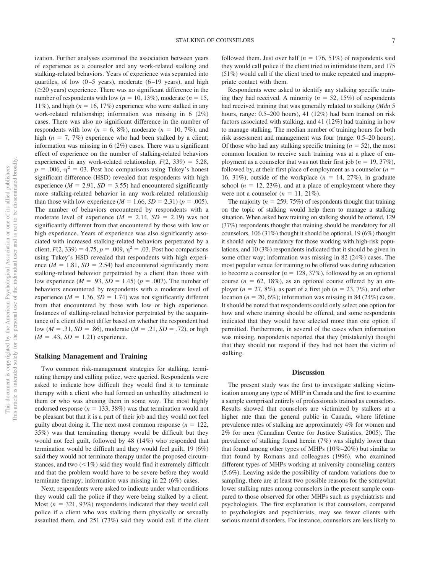ization. Further analyses examined the association between years of experience as a counselor and any work-related stalking and stalking-related behaviors. Years of experience was separated into quartiles, of low  $(0-5$  years), moderate  $(6-19)$  years), and high  $(\geq 20 \text{ years})$  experience. There was no significant difference in the number of respondents with low ( $n = 10, 13\%$ ), moderate ( $n = 15$ , 11%), and high ( $n = 16$ , 17%) experience who were stalked in any work-related relationship; information was missing in 6 (2%) cases. There was also no significant difference in the number of respondents with low  $(n = 6, 8\%)$ , moderate  $(n = 10, 7\%)$ , and high  $(n = 7, 7\%)$  experience who had been stalked by a client; information was missing in 6 (2%) cases. There was a significant effect of experience on the number of stalking-related behaviors experienced in any work-related relationship,  $F(2, 339) = 5.28$ ,  $p = .006$ ,  $\eta^2 = 03$ . Post hoc comparisons using Tukey's honest significant difference (HSD) revealed that respondents with high experience  $(M = 2.91, SD = 3.55)$  had encountered significantly more stalking-related behavior in any work-related relationship than those with low experience  $(M = 1.66, SD = 2.31) (p = .005)$ . The number of behaviors encountered by respondents with a moderate level of experience  $(M = 2.14, SD = 2.19)$  was not significantly different from that encountered by those with low or high experience. Years of experience was also significantly associated with increased stalking-related behaviors perpetrated by a client,  $F(2, 339) = 4.75$ ,  $p = .009$ ,  $\eta^2 = .03$ . Post hoc comparisons using Tukey's HSD revealed that respondents with high experience  $(M = 1.81, SD = 2.54)$  had encountered significantly more stalking-related behavior perpetrated by a client than those with low experience  $(M = .93, SD = 1.45)$   $(p = .007)$ . The number of behaviors encountered by respondents with a moderate level of experience ( $M = 1.36$ ,  $SD = 1.74$ ) was not significantly different from that encountered by those with low or high experience. Instances of stalking-related behavior perpetrated by the acquaintance of a client did not differ based on whether the respondent had low ( $M = .31$ ,  $SD = .86$ ), moderate ( $M = .21$ ,  $SD = .72$ ), or high  $(M = .43, SD = 1.21)$  experience.

#### **Stalking Management and Training**

Two common risk-management strategies for stalking, terminating therapy and calling police, were queried. Respondents were asked to indicate how difficult they would find it to terminate therapy with a client who had formed an unhealthy attachment to them or who was abusing them in some way. The most highly endorsed response ( $n = 133, 38\%$ ) was that termination would not be pleasant but that it is a part of their job and they would not feel guilty about doing it. The next most common response  $(n = 122,$ 35%) was that terminating therapy would be difficult but they would not feel guilt, followed by 48 (14%) who responded that termination would be difficult and they would feel guilt, 19 (6%) said they would not terminate therapy under the proposed circumstances, and two  $\left($  < 1%) said they would find it extremely difficult and that the problem would have to be severe before they would terminate therapy; information was missing in 22 (6%) cases.

Next, respondents were asked to indicate under what conditions they would call the police if they were being stalked by a client. Most  $(n = 321, 93\%)$  respondents indicated that they would call police if a client who was stalking them physically or sexually assaulted them, and 251 (73%) said they would call if the client

followed them. Just over half ( $n = 176, 51\%$ ) of respondents said they would call police if the client tried to intimidate them, and 175 (51%) would call if the client tried to make repeated and inappropriate contact with them.

Respondents were asked to identify any stalking specific training they had received. A minority  $(n = 52, 15\%)$  of respondents had received training that was generally related to stalking (*Mdn* 5 hours, range: 0.5–200 hours), 41 (12%) had been trained on risk factors associated with stalking, and 41 (12%) had training in how to manage stalking. The median number of training hours for both risk assessment and management was four (range: 0.5–20 hours). Of those who had any stalking specific training  $(n = 52)$ , the most common location to receive such training was at a place of employment as a counselor that was not their first job ( $n = 19, 37\%$ ), followed by, at their first place of employment as a counselor  $(n =$ 16, 31%), outside of the workplace  $(n = 14, 27\%)$ , in graduate school  $(n = 12, 23\%)$ , and at a place of employment where they were not a counselor  $(n = 11, 21\%)$ .

The majority  $(n = 259, 75\%)$  of respondents thought that training on the topic of stalking would help them to manage a stalking situation. When asked how training on stalking should be offered, 129 (37%) respondents thought that training should be mandatory for all counselors, 106 (31%) thought it should be optional, 19 (6%) thought it should only be mandatory for those working with high-risk populations, and 10 (3%) respondents indicated that it should be given in some other way; information was missing in 82 (24%) cases. The most popular venue for training to be offered was during education to become a counselor ( $n = 128, 37\%$ ), followed by as an optional course  $(n = 62, 18\%)$ , as an optional course offered by an employer ( $n = 27, 8\%$ ), as part of a first job ( $n = 23, 7\%$ ), and other location ( $n = 20, 6\%$ ); information was missing in 84 (24%) cases. It should be noted that respondents could only select one option for how and where training should be offered, and some respondents indicated that they would have selected more than one option if permitted. Furthermore, in several of the cases when information was missing, respondents reported that they (mistakenly) thought that they should not respond if they had not been the victim of stalking.

#### **Discussion**

The present study was the first to investigate stalking victimization among any type of MHP in Canada and the first to examine a sample comprised entirely of professionals trained as counselors. Results showed that counselors are victimized by stalkers at a higher rate than the general public in Canada, where lifetime prevalence rates of stalking are approximately 4% for women and 2% for men (Canadian Centre for Justice Statistics, 2005). The prevalence of stalking found herein (7%) was slightly lower than that found among other types of MHPs (10%–20%) but similar to that found by Romans and colleagues (1996), who examined different types of MHPs working at university counseling centers (5.6%). Leaving aside the possibility of random variations due to sampling, there are at least two possible reasons for the somewhat lower stalking rates among counselors in the present sample compared to those observed for other MHPs such as psychiatrists and psychologists. The first explanation is that counselors, compared to psychologists and psychiatrists, may see fewer clients with serious mental disorders. For instance, counselors are less likely to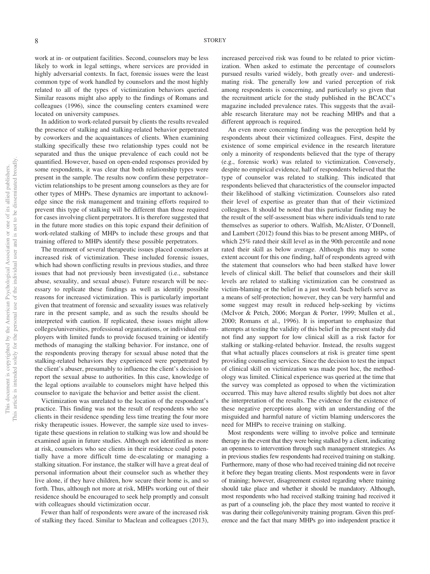work at in- or outpatient facilities. Second, counselors may be less likely to work in legal settings, where services are provided in highly adversarial contexts. In fact, forensic issues were the least common type of work handled by counselors and the most highly related to all of the types of victimization behaviors queried. Similar reasons might also apply to the findings of Romans and colleagues (1996), since the counseling centers examined were located on university campuses.

In addition to work-related pursuit by clients the results revealed the presence of stalking and stalking-related behavior perpetrated by coworkers and the acquaintances of clients. When examining stalking specifically these two relationship types could not be separated and thus the unique prevalence of each could not be quantified. However, based on open-ended responses provided by some respondents, it was clear that both relationship types were present in the sample. The results now confirm these perpetrator– victim relationships to be present among counselors as they are for other types of MHPs. These dynamics are important to acknowledge since the risk management and training efforts required to prevent this type of stalking will be different than those required for cases involving client perpetrators. It is therefore suggested that in the future more studies on this topic expand their definition of work-related stalking of MHPs to include these groups and that training offered to MHPs identify these possible perpetrators.

The treatment of several therapeutic issues placed counselors at increased risk of victimization. These included forensic issues, which had shown conflicting results in previous studies, and three issues that had not previously been investigated (i.e., substance abuse, sexuality, and sexual abuse). Future research will be necessary to replicate these findings as well as identify possible reasons for increased victimization. This is particularly important given that treatment of forensic and sexuality issues was relatively rare in the present sample, and as such the results should be interpreted with caution. If replicated, these issues might allow colleges/universities, professional organizations, or individual employers with limited funds to provide focused training or identify methods of managing the stalking behavior. For instance, one of the respondents proving therapy for sexual abuse noted that the stalking-related behaviors they experienced were perpetrated by the client's abuser, presumably to influence the client's decision to report the sexual abuse to authorities. In this case, knowledge of the legal options available to counselors might have helped this counselor to navigate the behavior and better assist the client.

Victimization was unrelated to the location of the respondent's practice. This finding was not the result of respondents who see clients in their residence spending less time treating the four more risky therapeutic issues. However, the sample size used to investigate these questions in relation to stalking was low and should be examined again in future studies. Although not identified as more at risk, counselors who see clients in their residence could potentially have a more difficult time de-escalating or managing a stalking situation. For instance, the stalker will have a great deal of personal information about their counselor such as whether they live alone, if they have children, how secure their home is, and so forth. Thus, although not more at risk, MHPs working out of their residence should be encouraged to seek help promptly and consult with colleagues should victimization occur.

Fewer than half of respondents were aware of the increased risk of stalking they faced. Similar to Maclean and colleagues (2013),

increased perceived risk was found to be related to prior victimization. When asked to estimate the percentage of counselors pursued results varied widely, both greatly over- and underestimating risk. The generally low and varied perception of risk among respondents is concerning, and particularly so given that the recruitment article for the study published in the BCACC's magazine included prevalence rates. This suggests that the available research literature may not be reaching MHPs and that a different approach is required.

An even more concerning finding was the perception held by respondents about their victimized colleagues. First, despite the existence of some empirical evidence in the research literature only a minority of respondents believed that the type of therapy (e.g., forensic work) was related to victimization. Conversely, despite no empirical evidence, half of respondents believed that the type of counselor was related to stalking. This indicated that respondents believed that characteristics of the counselor impacted their likelihood of stalking victimization. Counselors also rated their level of expertise as greater than that of their victimized colleagues. It should be noted that this particular finding may be the result of the self-assessment bias where individuals tend to rate themselves as superior to others. Walfish, McAlister, O'Donnell, and Lambert (2012) found this bias to be present among MHPs, of which 25% rated their skill level as in the 90th percentile and none rated their skill as below average. Although this may to some extent account for this one finding, half of respondents agreed with the statement that counselors who had been stalked have lower levels of clinical skill. The belief that counselors and their skill levels are related to stalking victimization can be construed as victim-blaming or the belief in a just world. Such beliefs serve as a means of self-protection; however, they can be very harmful and some suggest may result in reduced help-seeking by victims (McIvor & Petch, 2006; Morgan & Porter, 1999; Mullen et al., 2000; Romans et al., 1996). It is important to emphasize that attempts at testing the validity of this belief in the present study did not find any support for low clinical skill as a risk factor for stalking or stalking-related behavior. Instead, the results suggest that what actually places counselors at risk is greater time spent providing counseling services. Since the decision to test the impact of clinical skill on victimization was made post hoc, the methodology was limited. Clinical experience was queried at the time that the survey was completed as opposed to when the victimization occurred. This may have altered results slightly but does not alter the interpretation of the results. The evidence for the existence of these negative perceptions along with an understanding of the misguided and harmful nature of victim blaming underscores the need for MHPs to receive training on stalking.

Most respondents were willing to involve police and terminate therapy in the event that they were being stalked by a client, indicating an openness to intervention through such management strategies. As in previous studies few respondents had received training on stalking. Furthermore, many of those who had received training did not receive it before they began treating clients. Most respondents were in favor of training; however, disagreement existed regarding where training should take place and whether it should be mandatory. Although, most respondents who had received stalking training had received it as part of a counseling job, the place they most wanted to receive it was during their college/university training program. Given this preference and the fact that many MHPs go into independent practice it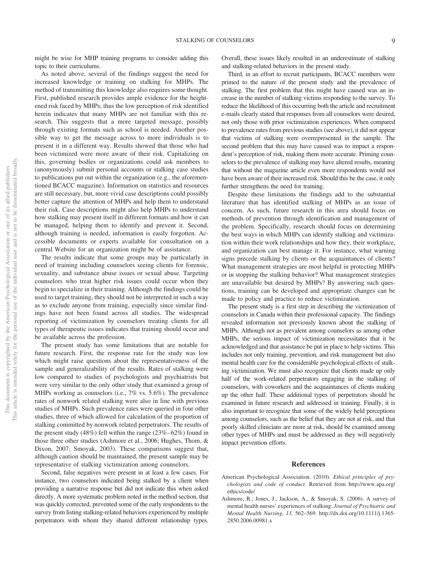might be wise for MHP training programs to consider adding this topic to their curriculums.

As noted above, several of the findings suggest the need for increased knowledge or training on stalking for MHPs. The method of transmitting this knowledge also requires some thought. First, published research provides ample evidence for the heightened risk faced by MHPs; thus the low perception of risk identified herein indicates that many MHPs are not familiar with this research. This suggests that a more targeted message, possibly through existing formats such as school is needed. Another possible way to get the message across to more individuals is to present it in a different way. Results showed that those who had been victimized were more aware of their risk. Capitalizing on this, governing bodies or organizations could ask members to (anonymously) submit personal accounts or stalking case studies to publications put out within the organization (e.g., the aforementioned BCACC magazine). Information on statistics and resources are still necessary, but, more vivid case descriptions could possibly better capture the attention of MHPs and help them to understand their risk. Case descriptions might also help MHPs to understand how stalking may present itself in different formats and how it can be managed, helping them to identify and prevent it. Second, although training is needed, information is easily forgotten. Accessible documents or experts available for consultation on a central Website for an organization might be of assistance.

The results indicate that some groups may be particularly in need of training including counselors seeing clients for forensic, sexuality, and substance abuse issues or sexual abuse. Targeting counselors who treat higher risk issues could occur when they begin to specialize in their training. Although the findings could be used to target training, they should not be interpreted in such a way as to exclude anyone from training, especially since similar findings have not been found across all studies. The widespread reporting of victimization by counselors treating clients for all types of therapeutic issues indicates that training should occur and be available across the profession.

The present study has some limitations that are notable for future research. First, the response rate for the study was low which might raise questions about the representativeness of the sample and generalizability of the results. Rates of stalking were low compared to studies of psychologists and psychiatrists but were very similar to the only other study that examined a group of MHPs working as counselors (i.e., 7% vs. 5.6%). The prevalence rates of nonwork related stalking were also in line with previous studies of MHPs. Such prevalence rates were queried in four other studies, three of which allowed for calculation of the proportion of stalking committed by nonwork related perpetrators. The results of the present study (48%) fell within the range (23%– 62%) found in those three other studies (Ashmore et al., 2006; Hughes, Thom, & Dixon, 2007; Smoyak, 2003). These comparisons suggest that, although caution should be maintained, the present sample may be representative of stalking victimization among counselors.

Second, false negatives were present in at least a few cases. For instance, two counselors indicated being stalked by a client when providing a narrative response but did not indicate this when asked directly. A more systematic problem noted in the method section, that was quickly corrected, prevented some of the early respondents to the survey from listing stalking-related behaviors experienced by multiple perpetrators with whom they shared different relationship types.

Overall, these issues likely resulted in an underestimate of stalking and stalking-related behaviors in the present study.

Third, in an effort to recruit participants, BCACC members were primed to the nature of the present study and the prevalence of stalking. The first problem that this might have caused was an increase in the number of stalking victims responding to the survey. To reduce the likelihood of this occurring both the article and recruitment e-mails clearly stated that responses from all counselors were desired, not only those with prior victimization experiences. When compared to prevalence rates from previous studies (see above), it did not appear that victims of stalking were overrepresented in the sample. The second problem that this may have caused was to impact a respondent's perception of risk, making them more accurate. Priming counselors to the prevalence of stalking may have altered results, meaning that without the magazine article even more respondents would not have been aware of their increased risk. Should this be the case, it only further strengthens the need for training.

Despite these limitations the findings add to the substantial literature that has identified stalking of MHPs as an issue of concern. As such, future research in this area should focus on methods of prevention through identification and management of the problem. Specifically, research should focus on determining the best ways in which MHPs can identify stalking and victimization within their work relationships and how they, their workplace, and organization can best manage it. For instance, what warning signs precede stalking by clients or the acquaintances of clients? What management strategies are most helpful in protecting MHPs or in stopping the stalking behavior? What management strategies are unavailable but desired by MHPs? By answering such questions, training can be developed and appropriate changes can be made to policy and practice to reduce victimization.

The present study is a first step in describing the victimization of counselors in Canada within their professional capacity. The findings revealed information not previously known about the stalking of MHPs. Although not as prevalent among counselors as among other MHPs, the serious impact of victimization necessitates that it be acknowledged and that assistance be put in place to help victims. This includes not only training, prevention, and risk management but also mental health care for the considerable psychological effects of stalking victimization. We must also recognize that clients made up only half of the work-related perpetrators engaging in the stalking of counselors, with coworkers and the acquaintances of clients making up the other half. These additional types of perpetrators should be examined in future research and addressed in training. Finally, it is also important to recognize that some of the widely held perceptions among counselors, such as the belief that they are not at risk, and that poorly skilled clinicians are more at risk, should be examined among other types of MHPs and must be addressed as they will negatively impact prevention efforts.

#### **References**

- American Psychological Association. (2010). *Ethical principles of psychologists and code of conduct*. Retrieved from http://www.apa.org/ ethics/code/
- Ashmore, R., Jones, J., Jackson, A., & Smoyak, S. (2006). A survey of mental health nurses' experiences of stalking. *Journal of Psychiatric and Mental Health Nursing, 13,* 562–569. http://dx.doi.org/10.1111/j.1365- 2850.2006.00981.x